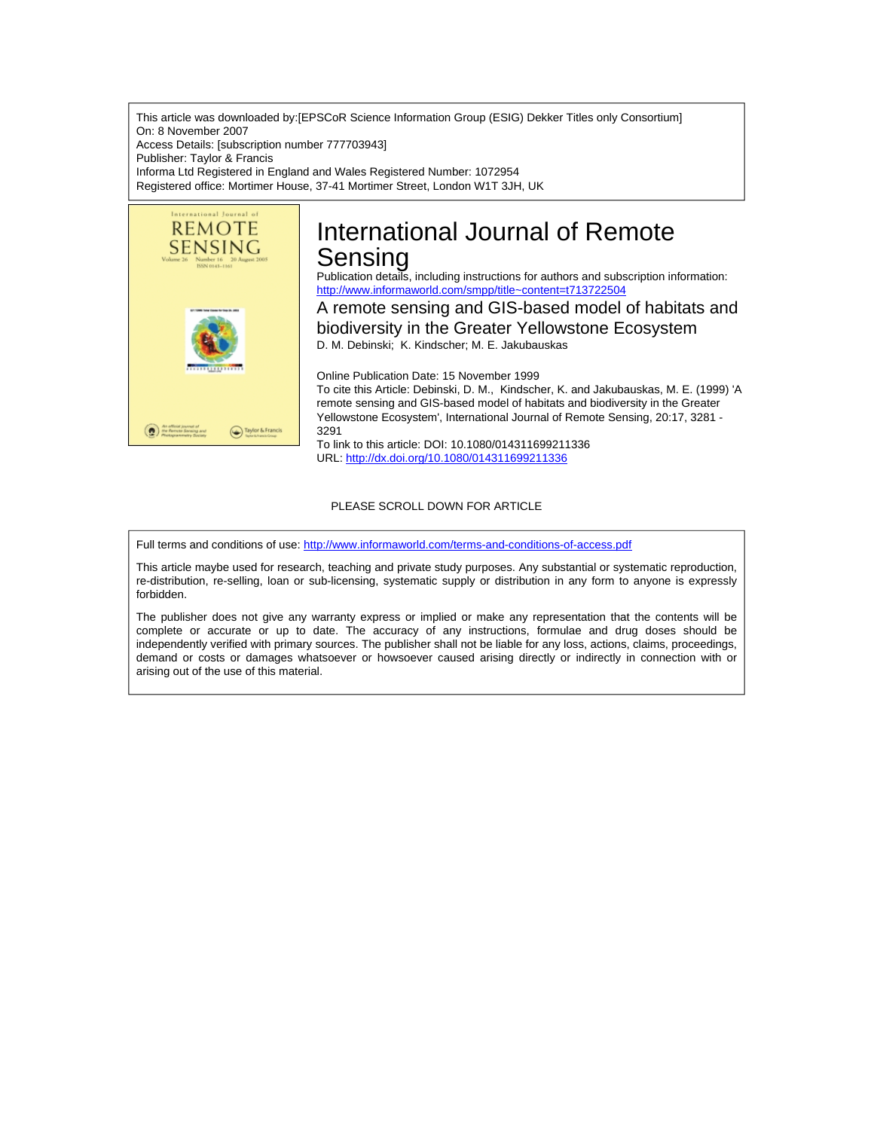This article was downloaded by:[EPSCoR Science Information Group (ESIG) Dekker Titles only Consortium] On: 8 November 2007 Access Details: [subscription number 777703943] Publisher: Taylor & Francis Informa Ltd Registered in England and Wales Registered Number: 1072954 Registered office: Mortimer House, 37-41 Mortimer Street, London W1T 3JH, UK



# International Journal of Remote Sensing

Publication details, including instructions for authors and subscription information: <http://www.informaworld.com/smpp/title~content=t713722504>

A remote sensing and GIS-based model of habitats and biodiversity in the Greater Yellowstone Ecosystem D. M. Debinski; K. Kindscher; M. E. Jakubauskas

Online Publication Date: 15 November 1999 To cite this Article: Debinski, D. M., Kindscher, K. and Jakubauskas, M. E. (1999) 'A remote sensing and GIS-based model of habitats and biodiversity in the Greater Yellowstone Ecosystem', International Journal of Remote Sensing, 20:17, 3281 - 3291

To link to this article: DOI: 10.1080/014311699211336 URL: <http://dx.doi.org/10.1080/014311699211336>

## PLEASE SCROLL DOWN FOR ARTICLE

Full terms and conditions of use: <http://www.informaworld.com/terms-and-conditions-of-access.pdf>

This article maybe used for research, teaching and private study purposes. Any substantial or systematic reproduction, re-distribution, re-selling, loan or sub-licensing, systematic supply or distribution in any form to anyone is expressly forbidden.

The publisher does not give any warranty express or implied or make any representation that the contents will be complete or accurate or up to date. The accuracy of any instructions, formulae and drug doses should be independently verified with primary sources. The publisher shall not be liable for any loss, actions, claims, proceedings, demand or costs or damages whatsoever or howsoever caused arising directly or indirectly in connection with or arising out of the use of this material.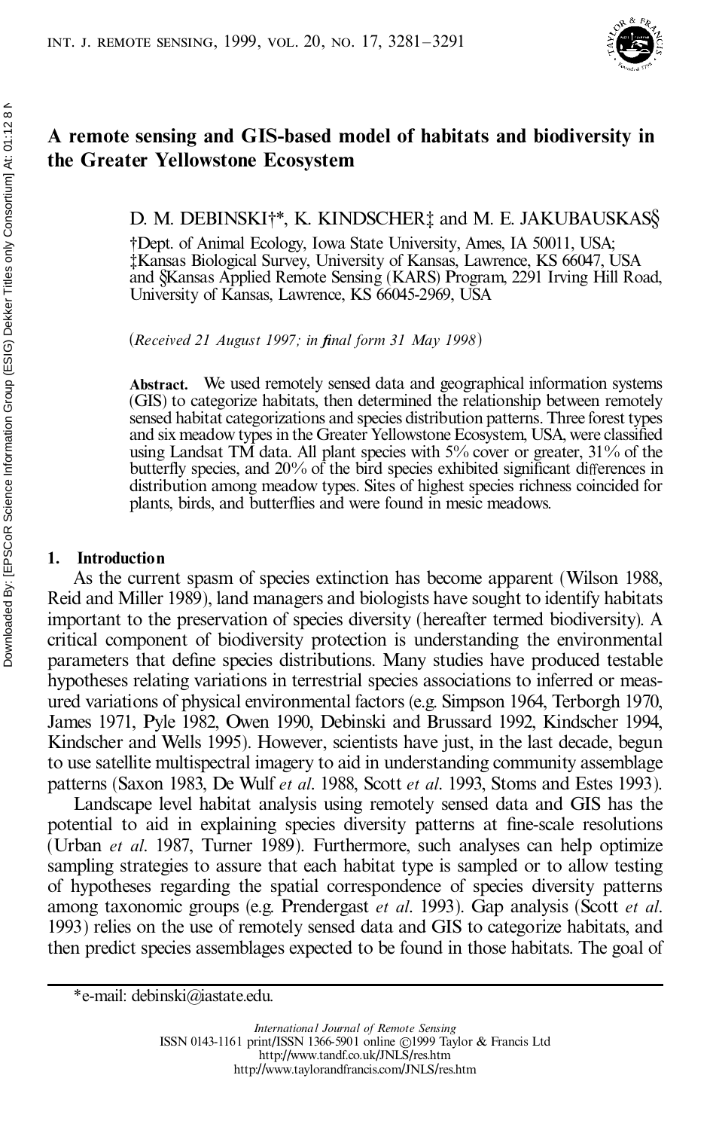

## **A remote sensing and GIS-based model of habitats and biodiversity in the Greater Yellowstone Ecosystem**

## D. M. DEBINSKI†\*, K. KINDSCHER‡ and M. E. JAKUBAUSKAS§

²Dept. of Animal Ecology, Iowa State University, Ames, IA 50011, USA; ³Kansas Biological Survey, University of Kansas, Lawrence, KS 66047, USA and §Kansas Applied Remote Sensing (KARS) Program, 2291 Irving Hill Road, University of Kansas, Lawrence, KS 66045-2969, USA

(*Received 21 August 1997; in ®nal form 31 May 1998*)

**Abstract.** We used remotely sensed data and geographical information systems (GIS) to categorize habitats, then determined the relationship between remotely sensed habitat categorizations and species distribution patterns. Three forest types and six meadow types in the Greater Yellowstone Ecosystem, USA, were classified using Landsat TM data. All plant species with 5% cover or greater, 31% of the butterfly species, and  $20\%$  of the bird species exhibited significant differences in distribution among meadow types. Sites of highest species richness coincided for plants, birds, and butterflies and were found in mesic meadows.

## **1. Introduction**

As the current spasm of species extinction has become apparent (Wilson 1988, Reid and Miller 1989), land managers and biologists have sought to identify habitats important to the preservation of species diversity (hereafter termed biodiversity). A critical component of biodiversity protection is understanding the environmental parameters that define species distributions. Many studies have produced testable hypotheses relating variations in terrestrial species associations to inferred or measured variations of physical environmental factors (e.g. Simpson 1964, Terborgh 1970, James 1971, Pyle 1982, Owen 1990, Debinski and Brussard 1992, Kindscher 1994, Kindscher and Wells 1995). However, scientists have just, in the last decade, begun to use satellite multispectral imagery to aid in understanding community assemblage patterns (Saxon 1983, De Wulf *et al*. 1988, Scott *et al*. 1993, Stoms and Estes 1993).

Landscape level habitat analysis using remotely sensed data and GIS has the potential to aid in explaining species diversity patterns at fine-scale resolutions (Urban *et al*. 1987, Turner 1989). Furthermore, such analyses can help optimize sampling strategies to assure that each habitat type is sampled or to allow testing of hypotheses regarding the spatial correspondence of species diversity patterns among taxonomic groups (e.g. Prendergast *et al*. 1993). Gap analysis (Scott *et al*. 1993) relies on the use of remotely sensed data and GIS to categorize habitats, and then predict species assemblages expected to be found in those habitats. The goal of

<sup>\*</sup>e-mail: debinski@iastate.edu.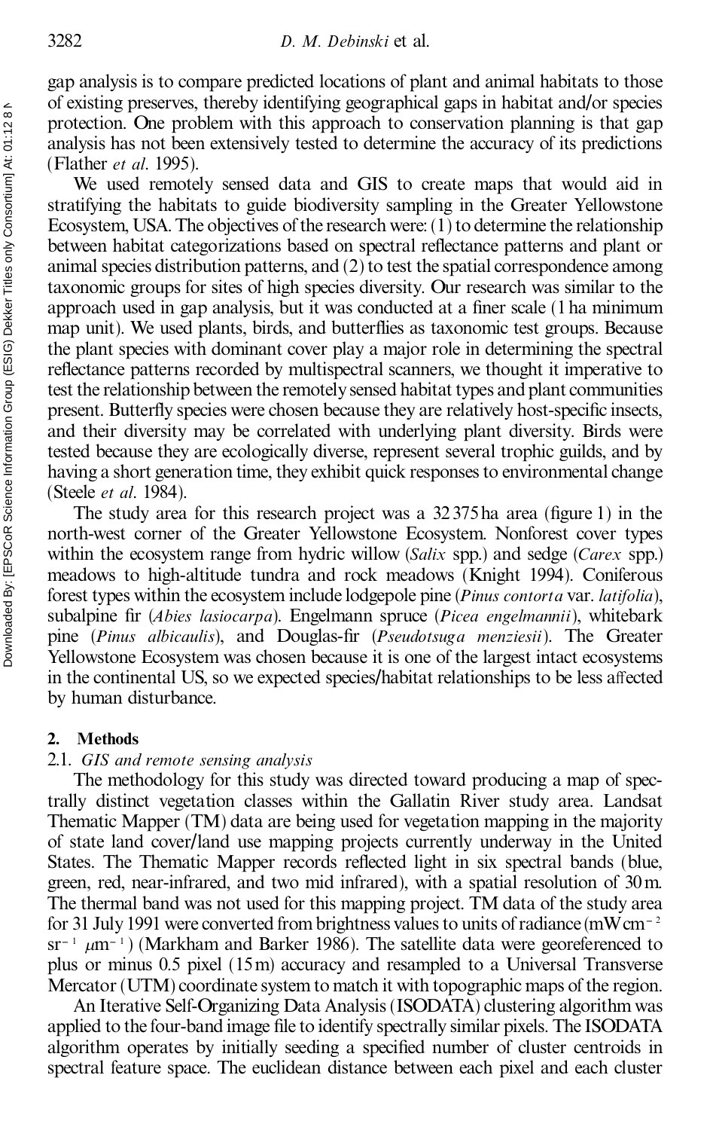gap analysis is to compare predicted locations of plant and animal habitats to those of existing preserves, thereby identifying geographical gaps in habitat and/or species protection. One problem with this approach to conservation planning is that gap analysis has not been extensively tested to determine the accuracy of its predictions (Flather *et al*. 1995).

We used remotely sensed data and GIS to create maps that would aid in stratifying the habitats to guide biodiversity sampling in the Greater Yellowstone Ecosystem, USA. The objectives of the research were:  $(1)$  to determine the relationship between habitat categorizations based on spectral reflectance patterns and plant or animal species distribution patterns, and (2) to test the spatial correspondence among taxonomic groups for sites of high species diversity. Our research was similar to the approach used in gap analysis, but it was conducted at a finer scale (1 ha minimum map unit). We used plants, birds, and butterflies as taxonomic test groups. Because the plant species with dominant cover play a major role in determining the spectral reflectance patterns recorded by multispectral scanners, we thought it imperative to test the relationship between the remotely sensed habitat types and plant communities present. Butterfly species were chosen because they are relatively host-specific insects, and their diversity may be correlated with underlying plant diversity. Birds were tested because they are ecologically diverse, represent several trophic guilds, and by having a short generation time, they exhibit quick responses to environmental change (Steele *et al*. 1984).

The study area for this research project was a  $32375$  ha area (figure 1) in the north-west corner of the Greater Yellowstone Ecosystem. Nonforest cover types within the ecosystem range from hydric willow (*Salix* spp.) and sedge (*Carex* spp.) meadows to high-altitude tundra and rock meadows (Knight 1994). Coniferous forest types within the ecosystem include lodgepole pine (*Pinus contorta* var. *latifolia*), subalpine fir (*Abies lasiocarpa*). Engelmann spruce (*Picea engelmannii*), whitebark pine (*Pinus albicaulis*), and Douglas-fir (*Pseudotsuga menziesii*). The Greater Yellowstone Ecosystem was chosen because it is one of the largest intact ecosystems in the continental US, so we expected species/habitat relationships to be less affected by human disturbance.

#### **2. Methods**

## 2.1. *GIS and remote sensing analysis*

The methodology for this study was directed toward producing a map of spectrally distinct vegetation classes within the Gallatin River study area. Landsat Thematic Mapper (TM) data are being used for vegetation mapping in the majority of state land cover/land use mapping projects currently underway in the United States. The Thematic Mapper records reflected light in six spectral bands (blue, green, red, near-infrared, and two mid infrared), with a spatial resolution of 30m. The thermal band was not used for this mapping project. TM data of the study area for 31 July 1991 were converted from brightness values to units of radiance (mWcm<sup> $-2$ </sup>  $sr^{-1}$   $\mu$ m<sup>-1</sup>) (Markham and Barker 1986). The satellite data were georeferenced to plus or minus 0.5 pixel (15m) accuracy and resampled to a Universal Transverse Mercator (UTM) coordinate system to match it with topographic maps of the region.

An Iterative Self-Organizing Data Analysis (ISODATA) clustering algorithm was applied to the four-band image file to identify spectrally similar pixels. The ISODATA algorithm operates by initially seeding a specified number of cluster centroids in spectral feature space. The euclidean distance between each pixel and each cluster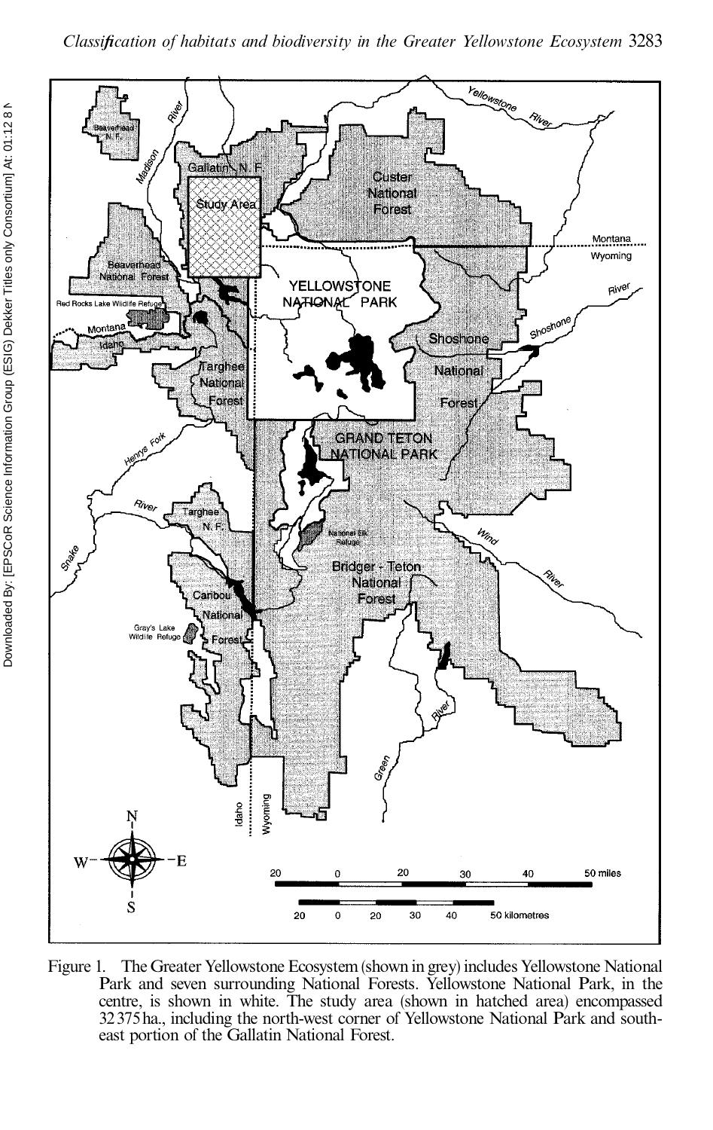

Figure 1. The Greater Yellowstone Ecosystem (shown in grey) includes Yellowstone National Park and seven surrounding National Forests. Yellowstone National Park, in the centre, is shown in white. The study area (shown in hatched area) encompassed 32375ha., including the north-west corner of Yellowstone National Park and south- east portion of the Gallatin National Forest.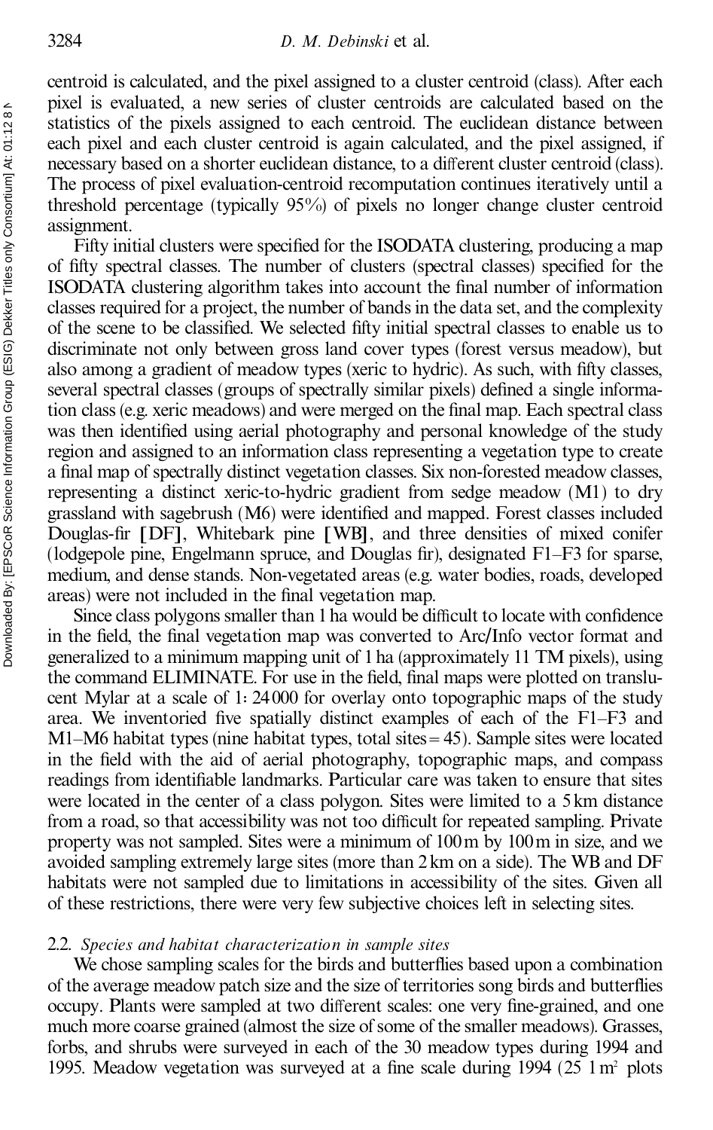centroid is calculated, and the pixel assigned to a cluster centroid (class). After each pixel is evaluated, a new series of cluster centroids are calculated based on the statistics of the pixels assigned to each centroid. The euclidean distance between each pixel and each cluster centroid is again calculated, and the pixel assigned, if necessary based on a shorter euclidean distance, to a different cluster centroid (class). The process of pixel evaluation-centroid recomputation continues iteratively until a threshold percentage (typically 95%) of pixels no longer change cluster centroid assignment.

Fifty initial clusters were specified for the ISODATA clustering, producing a map of fifty spectral classes. The number of clusters (spectral classes) specified for the ISODATA clustering algorithm takes into account the final number of information classes required for a project, the number of bands in the data set, and the complexity of the scene to be classified. We selected fifty initial spectral classes to enable us to discriminate not only between gross land cover types (forest versus meadow), but also among a gradient of meadow types (xeric to hydric). As such, with fifty classes, several spectral classes (groups of spectrally similar pixels) defined a single information class (e.g. xeric meadows) and were merged on the final map. Each spectral class was then identified using aerial photography and personal knowledge of the study region and assigned to an information class representing a vegetation type to create a final map of spectrally distinct vegetation classes. Six non-forested meadow classes, representing a distinct xeric-to-hydric gradient from sedge meadow (M1) to dry grassland with sagebrush (M6) were identified and mapped. Forest classes included Douglas-fir [DF], Whitebark pine [WB], and three densities of mixed conifer (lodgepole pine, Engelmann spruce, and Douglas fir), designated  $F1-F3$  for sparse, medium, and dense stands. Non-vegetated areas (e.g. water bodies, roads, developed areas) were not included in the final vegetation map.

Since class polygons smaller than 1 ha would be difficult to locate with confidence in the field, the final vegetation map was converted to Arc/Info vector format and generalized to a minimum mapping unit of 1ha (approximately 11 TM pixels), using the command ELIMINATE. For use in the field, final maps were plotted on translucent Mylar at a scale of  $1:24000$  for overlay onto topographic maps of the study area. We inventoried five spatially distinct examples of each of the  $F1-F3$  and  $M1-M6$  habitat types (nine habitat types, total sites = 45). Sample sites were located in the field with the aid of aerial photography, topographic maps, and compass readings from identifiable landmarks. Particular care was taken to ensure that sites were located in the center of a class polygon. Sites were limited to a 5km distance from a road, so that accessibility was not too difficult for repeated sampling. Private property was not sampled. Sites were a minimum of 100m by 100m in size, and we avoided sampling extremely large sites (more than 2km on a side). The WB and DF habitats were not sampled due to limitations in accessibility of the sites. Given all of these restrictions, there were very few subjective choices left in selecting sites.

## 2.2. *Species and habitat characterization in sample sites*

We chose sampling scales for the birds and butterflies based upon a combination of the average meadow patch size and the size of territories song birds and butterflies occupy. Plants were sampled at two different scales: one very fine-grained, and one much more coarse grained (almost the size of some of the smaller meadows). Grasses, forbs, and shrubs were surveyed in each of the 30 meadow types during 1994 and 1995. Meadow vegetation was surveyed at a fine scale during 1994 (25 1  $\text{m}^2$  plots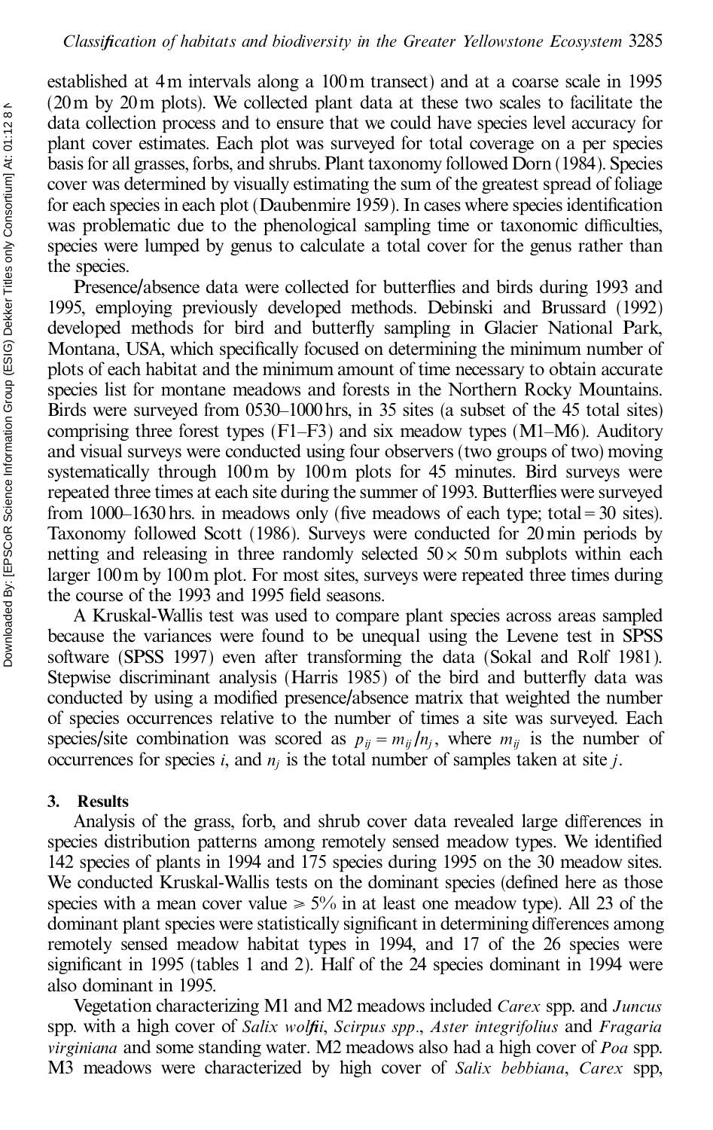established at 4m intervals along a 100m transect) and at a coarse scale in 1995 (20m by 20m plots). We collected plant data at these two scales to facilitate the data collection process and to ensure that we could have species level accuracy for plant cover estimates. Each plot was surveyed for total coverage on a per species basis for all grasses, forbs, and shrubs. Plant taxonomy followed Dorn (1984). Species cover was determined by visually estimating the sum of the greatest spread of foliage for each species in each plot (Daubenmire 1959). In cases where species identification was problematic due to the phenological sampling time or taxonomic difficulties, species were lumped by genus to calculate a total cover for the genus rather than the species.

Presence/absence data were collected for butterflies and birds during 1993 and 1995, employing previously developed methods. Debinski and Brussard (1992) developed methods for bird and butterfly sampling in Glacier National Park, Montana, USA, which specifically focused on determining the minimum number of plots of each habitat and the minimum amount of time necessary to obtain accurate species list for montane meadows and forests in the Northern Rocky Mountains. Birds were surveyed from 0530–1000 hrs, in 35 sites (a subset of the 45 total sites) comprising three forest types  $(F1-F3)$  and six meadow types  $(M1-M6)$ . Auditory and visual surveys were conducted using four observers (two groups of two) moving systematically through 100m by 100m plots for 45 minutes. Bird surveys were repeated three times at each site during the summer of 1993. Butterflies were surveyed from  $1000-1630$  hrs. in meadows only (five meadows of each type; total = 30 sites). Taxonomy followed Scott (1986). Surveys were conducted for 20min periods by netting and releasing in three randomly selected  $50 \times 50$  m subplots within each larger 100m by 100m plot. For most sites, surveys were repeated three times during the course of the 1993 and 1995 field seasons.

A Kruskal-Wallis test was used to compare plant species across areas sampled because the variances were found to be unequal using the Levene test in SPSS software (SPSS 1997) even after transforming the data (Sokal and Rolf 1981). Stepwise discriminant analysis (Harris 1985) of the bird and butterfly data was conducted by using a modified presence/absence matrix that weighted the number of species occurrences relative to the number of times a site was surveyed. Each species/site combination was scored as  $p_{ij} = m_{ij}/n_j$ , where  $m_{ij}$  is the number of occurrences for species *i*, and *n<sup>j</sup>* is the total number of samples taken at site *j*.

#### **3. Results**

Analysis of the grass, forb, and shrub cover data revealed large differences in species distribution patterns among remotely sensed meadow types. We identified 142 species of plants in 1994 and 175 species during 1995 on the 30 meadow sites. We conducted Kruskal-Wallis tests on the dominant species (defined here as those species with a mean cover value  $\geq 5\%$  in at least one meadow type). All 23 of the dominant plant species were statistically significant in determining differences among remotely sensed meadow habitat types in 1994, and 17 of the 26 species were significant in 1995 (tables 1 and 2). Half of the 24 species dominant in 1994 were also dominant in 1995.

Vegetation characterizing M1 and M2 meadows included *Carex* spp. and *Juncus* spp. with a high cover of *Salix wol®i*, *Scirpus spp.*, *Aster integrifolius* and *Fragaria virginiana* and some standing water. M2 meadows also had a high cover of *Poa* spp. M3 meadows were characterized by high cover of *Salix bebbiana*, *Carex* spp,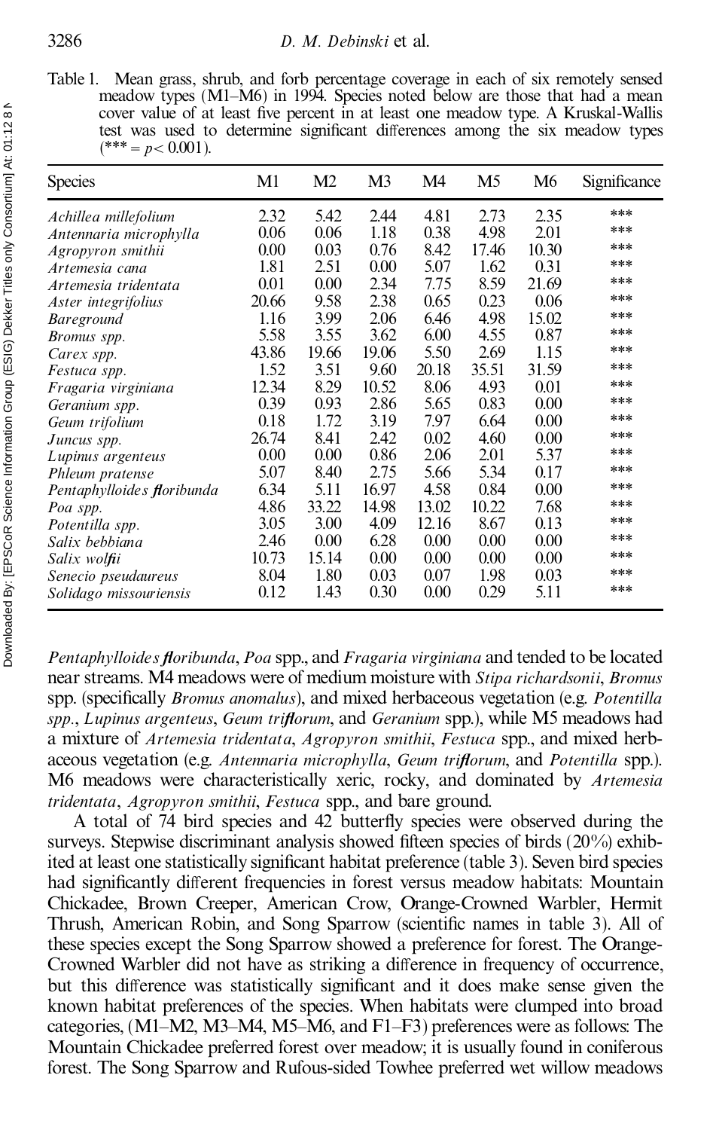Table 1. Mean grass, shrub, and forb percentage coverage in each of six remotely sensed meadow types (M1-M6) in 1994. Species noted below are those that had a mean cover value of at least five percent in at least one meadow type. A Kruskal-Wallis test was used to determine significant differences among the six meadow types  $(***= p< 0.001).$ 

| <b>Species</b>             | M1    | M <sub>2</sub> | M <sub>3</sub> | M4    | M <sub>5</sub> | M6    | Significance |
|----------------------------|-------|----------------|----------------|-------|----------------|-------|--------------|
| Achillea millefolium       | 2.32  | 5.42           | 2.44           | 4.81  | 2.73           | 2.35  | ***          |
| Antennaria microphylla     | 0.06  | 0.06           | 1.18           | 0.38  | 4.98           | 2.01  | ***          |
| Agropyron smithii          | 0.00  | 0.03           | 0.76           | 8.42  | 17.46          | 10.30 | ***          |
| Artemesia cana             | 1.81  | 2.51           | 0.00           | 5.07  | 1.62           | 0.31  | ***          |
| Artemesia tridentata       | 0.01  | 0.00           | 2.34           | 7.75  | 8.59           | 21.69 | ***          |
| Aster integrifolius        | 20.66 | 9.58           | 2.38           | 0.65  | 0.23           | 0.06  | ***          |
| <b>Bareground</b>          | 1.16  | 3.99           | 2.06           | 6.46  | 4.98           | 15.02 | ***          |
| Bromus spp.                | 5.58  | 3.55           | 3.62           | 6.00  | 4.55           | 0.87  | ***          |
| Carex spp.                 | 43.86 | 19.66          | 19.06          | 5.50  | 2.69           | 1.15  | ***          |
| Festuca spp.               | 1.52  | 3.51           | 9.60           | 20.18 | 35.51          | 31.59 | ***          |
| Fragaria virginiana        | 12.34 | 8.29           | 10.52          | 8.06  | 4.93           | 0.01  | ***          |
| Geranium spp.              | 0.39  | 0.93           | 2.86           | 5.65  | 0.83           | 0.00  | ***          |
| Geum trifolium             | 0.18  | 1.72           | 3.19           | 7.97  | 6.64           | 0.00  | ***          |
| Juncus spp.                | 26.74 | 8.41           | 2.42           | 0.02  | 4.60           | 0.00  | ***          |
| Lupinus argenteus          | 0.00  | 0.00           | 0.86           | 2.06  | 2.01           | 5.37  | ***          |
| Phleum pratense            | 5.07  | 8.40           | 2.75           | 5.66  | 5.34           | 0.17  | ***          |
| Pentaphylloides floribunda | 6.34  | 5.11           | 16.97          | 4.58  | 0.84           | 0.00  | ***          |
| Poa spp.                   | 4.86  | 33.22          | 14.98          | 13.02 | 10.22          | 7.68  | ***          |
| Potentilla spp.            | 3.05  | 3.00           | 4.09           | 12.16 | 8.67           | 0.13  | ***          |
| Salix bebbiana             | 2.46  | 0.00           | 6.28           | 0.00  | 0.00           | 0.00  | ***          |
| Salix wolfii               | 10.73 | 15.14          | 0.00           | 0.00  | 0.00           | 0.00  | ***          |
| Senecio pseudaureus        | 8.04  | 1.80           | 0.03           | 0.07  | 1.98           | 0.03  | ***          |
| Solidago missouriensis     | 0.12  | 1.43           | 0.30           | 0.00  | 0.29           | 5.11  | ***          |

*Pentaphylloides ¯ oribunda*, *Poa* spp., and *Fragaria virginiana* and tended to be located near streams. M4 meadows were of medium moisture with *Stipa richardsonii*, *Bromus* spp. (specifically *Bromus anomalus*), and mixed herbaceous vegetation (e.g. *Potentilla spp., Lupinus argenteus, Geum trifforum, and <i>Geranium* spp.), while M5 meadows had a mixture of *Artemesia tridentata*, *Agropyron smithii*, *Festuca* spp., and mixed herb aceous vegetation (e.g. *Antennaria microphylla*, *Geum triftorum*, and *Potentilla* spp.). M6 meadows were characteristically xeric, rocky, and dominated by *Artemesia tridentata*, *Agropyron smithii*, *Festuca* spp., and bare ground.

A total of 74 bird species and 42 butterfly species were observed during the surveys. Stepwise discriminant analysis showed fifteen species of birds  $(20\%)$  exhibited at least one statistically significant habitat preference (table 3). Seven bird species had significantly different frequencies in forest versus meadow habitats: Mountain Chickadee, Brown Creeper, American Crow, Orange-Crowned Warbler, Hermit Thrush, American Robin, and Song Sparrow (scientific names in table 3). All of these species except the Song Sparrow showed a preference for forest. The Orange- Crowned Warbler did not have as striking a difference in frequency of occurrence, but this difference was statistically significant and it does make sense given the known habitat preferences of the species. When habitats were clumped into broad categories,  $(M1-M2, M3-M4, M5-M6, and F1-F3)$  preferences were as follows: The Mountain Chickadee preferred forest over meadow; it is usually found in coniferous forest. The Song Sparrow and Rufous-sided Towhee preferred wet willow meadows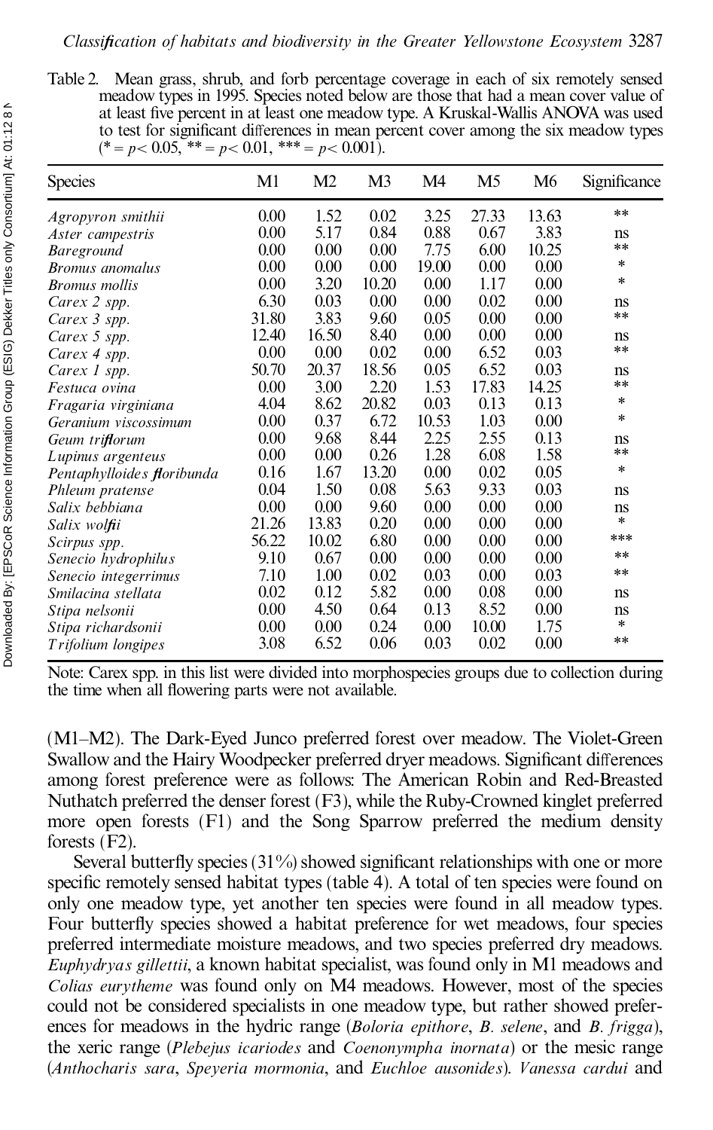Table 2. Mean grass, shrub, and forb percentage coverage in each of six remotely sensed meadow types in 1995. Species noted below are those that had a mean cover value of at least five percent in at least one meadow type. A Kruskal-Wallis ANOVA was used to test for significant differences in mean percent cover among the six meadow types  $(* = p < 0.05, ** = p < 0.01,*** = p < 0.001$ .

| <b>Species</b>             | M1       | M <sub>2</sub> | M3    | M4    | M <sub>5</sub> | M6    | Significance |
|----------------------------|----------|----------------|-------|-------|----------------|-------|--------------|
| Agropyron smithii          | 0.00     | 1.52           | 0.02  | 3.25  | 27.33          | 13.63 | $**$         |
| Aster campestris           | 0.00     | 5.17           | 0.84  | 0.88  | 0.67           | 3.83  | ns           |
| <b>Bareground</b>          | $0.00\,$ | 0.00           | 0.00  | 7.75  | 6.00           | 10.25 | **           |
| <i>Bromus anomalus</i>     | 0.00     | 0.00           | 0.00  | 19.00 | 0.00           | 0.00  | *            |
| <b>Bromus</b> mollis       | 0.00     | 3.20           | 10.20 | 0.00  | 1.17           | 0.00  | *            |
| Carex 2 spp.               | 6.30     | 0.03           | 0.00  | 0.00  | 0.02           | 0.00  | ns           |
| Carex 3 spp.               | 31.80    | 3.83           | 9.60  | 0.05  | 0.00           | 0.00  | **           |
| Carex 5 spp.               | 12.40    | 16.50          | 8.40  | 0.00  | 0.00           | 0.00  | ns           |
| Carex 4 spp.               | 0.00     | 0.00           | 0.02  | 0.00  | 6.52           | 0.03  | **           |
| Carex 1 spp.               | 50.70    | 20.37          | 18.56 | 0.05  | 6.52           | 0.03  | ns           |
| Festuca ovina              | 0.00     | 3.00           | 2.20  | 1.53  | 17.83          | 14.25 | **           |
| Fragaria virginiana        | 4.04     | 8.62           | 20.82 | 0.03  | 0.13           | 0.13  | *            |
| Geranium viscossimum       | 0.00     | 0.37           | 6.72  | 10.53 | 1.03           | 0.00  | *            |
| Geum triflorum             | 0.00     | 9.68           | 8.44  | 2.25  | 2.55           | 0.13  | ns           |
| Lupinus argenteus          | 0.00     | 0.00           | 0.26  | 1.28  | 6.08           | 1.58  | **           |
| Pentaphylloides floribunda | 0.16     | 1.67           | 13.20 | 0.00  | 0.02           | 0.05  | *            |
| Phleum pratense            | 0.04     | 1.50           | 0.08  | 5.63  | 9.33           | 0.03  | ns           |
| Salix bebbiana             | 0.00     | 0.00           | 9.60  | 0.00  | 0.00           | 0.00  | ns           |
| Salix wolfii               | 21.26    | 13.83          | 0.20  | 0.00  | 0.00           | 0.00  | $\ast$       |
| Scirpus spp.               | 56.22    | 10.02          | 6.80  | 0.00  | 0.00           | 0.00  | ***          |
| Senecio hydrophilus        | 9.10     | 0.67           | 0.00  | 0.00  | 0.00           | 0.00  | **           |
| Senecio integerrimus       | 7.10     | 1.00           | 0.02  | 0.03  | 0.00           | 0.03  | **           |
| Smilacina stellata         | 0.02     | 0.12           | 5.82  | 0.00  | 0.08           | 0.00  | ns           |
| Stipa nelsonii             | 0.00     | 4.50           | 0.64  | 0.13  | 8.52           | 0.00  | ns           |
| Stipa richardsonii         | 0.00     | 0.00           | 0.24  | 0.00  | 10.00          | 1.75  | $\ast$       |
| Trifolium longipes         | 3.08     | 6.52           | 0.06  | 0.03  | 0.02           | 0.00  | **           |

Note: Carex spp. in this list were divided into morphospecies groups due to collection during the time when all flowering parts were not available.

(M1±M2). The Dark-Eyed Junco preferred forest over meadow. The Violet-Green Swallow and the Hairy Woodpecker preferred dryer meadows. Significant differences among forest preference were as follows: The American Robin and Red-Breasted Nuthatch preferred the denser forest (F3), while the Ruby-Crowned kinglet preferred more open forests (F1) and the Song Sparrow preferred the medium density forests (F2).

Several butterfly species  $(31\%)$  showed significant relationships with one or more specific remotely sensed habitat types (table 4). A total of ten species were found on only one meadow type, yet another ten species were found in all meadow types. Four butterfly species showed a habitat preference for wet meadows, four species preferred intermediate moisture meadows, and two species preferred dry meadows. *Euphydryas gillettii*, a known habitat specialist, was found only in M1 meadows and *Colias eurytheme* was found only on M4 meadows. However, most of the species could not be considered specialists in one meadow type, but rather showed prefer ences for meadows in the hydric range (*Boloria epithore*, *B. selene*, and *B. frigga*), the xeric range (*Plebejus icariodes* and *Coenonympha inornata*) or the mesic range (*Anthocharis sara*, *Speyeria mormonia*, and *Euchloe ausonides*). *Vanessa cardui* and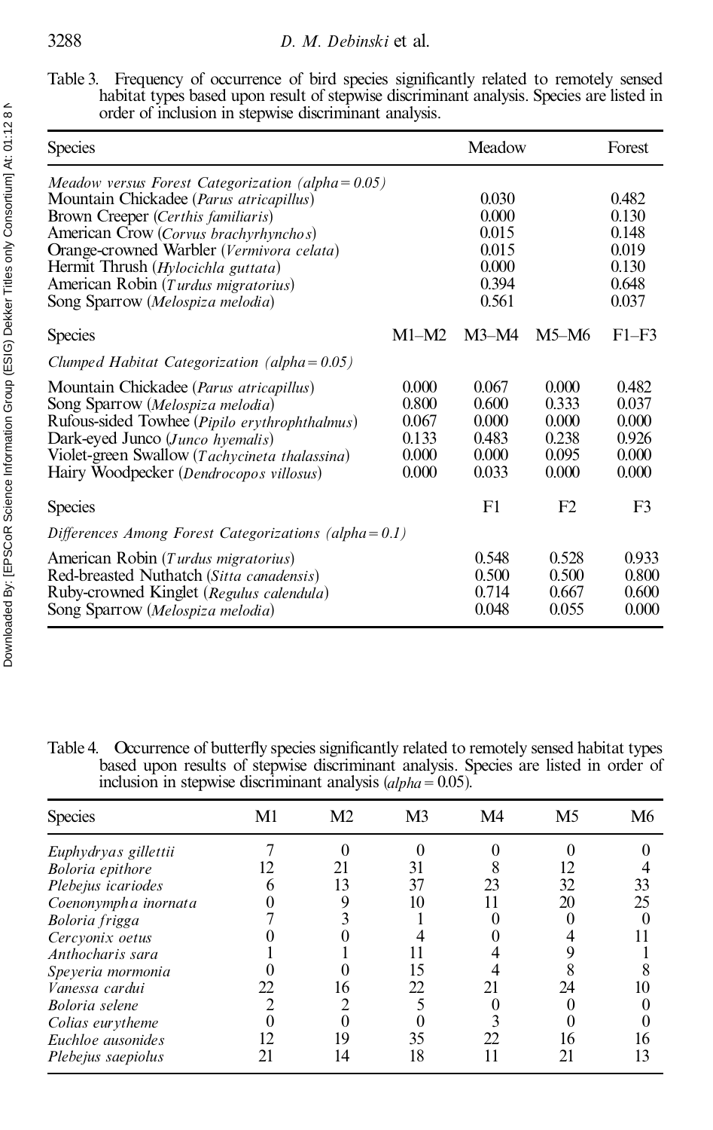| <b>Species</b>                                                                                                                                                                                                                                                                                                                                        |                                                    | Meadow                                                      |                                                    | Forest                                                      |
|-------------------------------------------------------------------------------------------------------------------------------------------------------------------------------------------------------------------------------------------------------------------------------------------------------------------------------------------------------|----------------------------------------------------|-------------------------------------------------------------|----------------------------------------------------|-------------------------------------------------------------|
| Meadow versus Forest Categorization (alpha= $0.05$ )<br>Mountain Chickadee ( <i>Parus atricapillus</i> )<br>Brown Creeper (Certhis familiaris)<br>American Crow (Corvus brachyrhynchos)<br>Orange-crowned Warbler (Vermivora celata)<br>Hermit Thrush (Hylocichla guttata)<br>American Robin (Turdus migratorius)<br>Song Sparrow (Melospiza melodia) |                                                    | 0.030<br>0.000<br>0.015<br>0.015<br>0.000<br>0.394<br>0.561 |                                                    | 0.482<br>0.130<br>0.148<br>0.019<br>0.130<br>0.648<br>0.037 |
| <b>Species</b>                                                                                                                                                                                                                                                                                                                                        | $M1-M2$                                            | $M3-M4$                                                     | $M5-M6$                                            | $F1-F3$                                                     |
| Clumped Habitat Categorization (alpha = $0.05$ )                                                                                                                                                                                                                                                                                                      |                                                    |                                                             |                                                    |                                                             |
| Mountain Chickadee ( <i>Parus atricapillus</i> )<br>Song Sparrow (Melospiza melodia)<br>Rufous-sided Towhee (Pipilo erythrophthalmus)<br>Dark-eyed Junco (Junco hyemalis)<br>Violet-green Swallow (Tachycineta thalassina)<br>Hairy Woodpecker (Dendrocopos villosus)                                                                                 | 0.000<br>0.800<br>0.067<br>0.133<br>0.000<br>0.000 | 0.067<br>0.600<br>0.000<br>0.483<br>0.000<br>0.033          | 0.000<br>0.333<br>0.000<br>0.238<br>0.095<br>0.000 | 0.482<br>0.037<br>0.000<br>0.926<br>0.000<br>0.000          |
| <b>Species</b>                                                                                                                                                                                                                                                                                                                                        |                                                    | F1                                                          | F2                                                 | F3                                                          |
| Differences Among Forest Categorizations (alpha= $0.1$ )                                                                                                                                                                                                                                                                                              |                                                    |                                                             |                                                    |                                                             |
| American Robin (Turdus migratorius)<br>Red-breasted Nuthatch (Sitta canadensis)<br>Ruby-crowned Kinglet (Regulus calendula)<br>Song Sparrow (Melospiza melodia)                                                                                                                                                                                       |                                                    | 0.548<br>0.500<br>0.714<br>0.048                            | 0.528<br>0.500<br>0.667<br>0.055                   | 0.933<br>0.800<br>0.600<br>0.000                            |

Table 4. Occurrence of butterfly species significantly related to remotely sensed habitat types based upon results of stepwise discriminant analysis. Species are listed in order of inclusion in stepwise discriminant analysis (*alpha*= 0.05).

| <b>Species</b>        | M1 | M <sub>2</sub> | M <sub>3</sub> | M4 | M <sub>5</sub> | M6 |
|-----------------------|----|----------------|----------------|----|----------------|----|
| Euphydryas gillettii  |    |                |                |    |                |    |
| Boloria epithore      |    | 21             | 31             |    |                |    |
| Plebejus icariodes    |    | 13             | 37             | 23 | 32             | 33 |
| Coenonympha inornata  |    |                |                |    | 20             | 25 |
| Boloria frigga        |    |                |                |    |                |    |
| Cercyonix oetus       |    |                |                |    |                |    |
| Anthocharis sara      |    |                |                |    |                |    |
| Speyeria mormonia     |    |                |                |    |                |    |
| Vanessa cardui        |    | 16             | 22.            | 21 | 24             |    |
| <b>Boloria</b> selene |    |                |                |    |                |    |
| Colias eurytheme      |    |                |                |    |                |    |
| Euchloe ausonides     |    | 19             | 35             | 22 | 16             | 16 |
| Plebejus saepiolus    |    | 14             | 18             |    |                | 13 |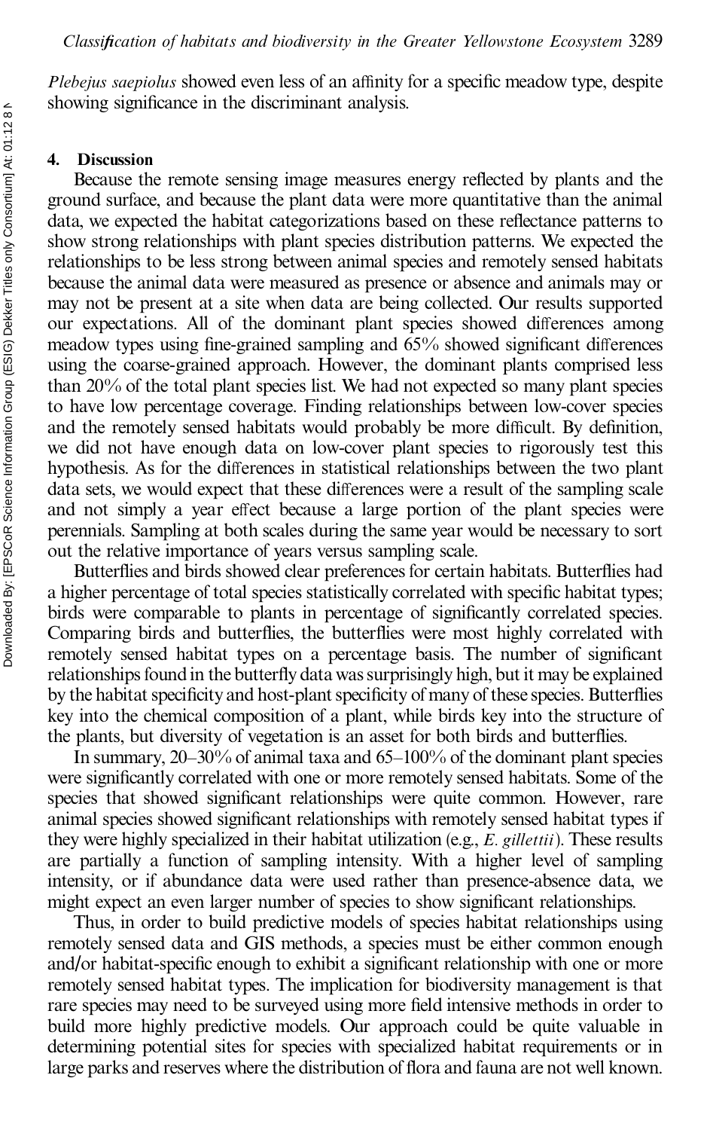*Plebejus saepiolus* showed even less of an affinity for a specific meadow type, despite showing significance in the discriminant analysis.

#### **4. Discussion**

Because the remote sensing image measures energy reflected by plants and the ground surface, and because the plant data were more quantitative than the animal data, we expected the habitat categorizations based on these reflectance patterns to show strong relationships with plant species distribution patterns. We expected the relationships to be less strong between animal species and remotely sensed habitats because the animal data were measured as presence or absence and animals may or may not be present at a site when data are being collected. Our results supported our expectations. All of the dominant plant species showed differences among meadow types using fine-grained sampling and  $65\%$  showed significant differences using the coarse-grained approach. However, the dominant plants comprised less than 20% of the total plant species list. We had not expected so many plant species to have low percentage coverage. Finding relationships between low-cover species and the remotely sensed habitats would probably be more difficult. By definition, we did not have enough data on low-cover plant species to rigorously test this hypothesis. As for the differences in statistical relationships between the two plant data sets, we would expect that these differences were a result of the sampling scale and not simply a year effect because a large portion of the plant species were perennials. Sampling at both scales during the same year would be necessary to sort out the relative importance of years versus sampling scale.

Butterflies and birds showed clear preferences for certain habitats. Butterflies had a higher percentage of total species statistically correlated with specific habitat types; birds were comparable to plants in percentage of significantly correlated species. Comparing birds and butterflies, the butterflies were most highly correlated with remotely sensed habitat types on a percentage basis. The number of significant relationships found in the butterfly data was surprisingly high, but it may be explained by the habitat specificity and host-plant specificity of many of these species. Butterflies key into the chemical composition of a plant, while birds key into the structure of the plants, but diversity of vegetation is an asset for both birds and butterflies.

In summary,  $20-30\%$  of animal taxa and  $65-100\%$  of the dominant plant species were significantly correlated with one or more remotely sensed habitats. Some of the species that showed significant relationships were quite common. However, rare animal species showed significant relationships with remotely sensed habitat types if they were highly specialized in their habitat utilization (e.g., *E. gillettii*). These results are partially a function of sampling intensity. With a higher level of sampling intensity, or if abundance data were used rather than presence-absence data, we might expect an even larger number of species to show significant relationships.

Thus, in order to build predictive models of species habitat relationships using remotely sensed data and GIS methods, a species must be either common enough and/or habitat-specific enough to exhibit a significant relationship with one or more remotely sensed habitat types. The implication for biodiversity management is that rare species may need to be surveyed using more field intensive methods in order to build more highly predictive models. Our approach could be quite valuable in determining potential sites for species with specialized habitat requirements or in large parks and reserves where the distribution of flora and fauna are not well known.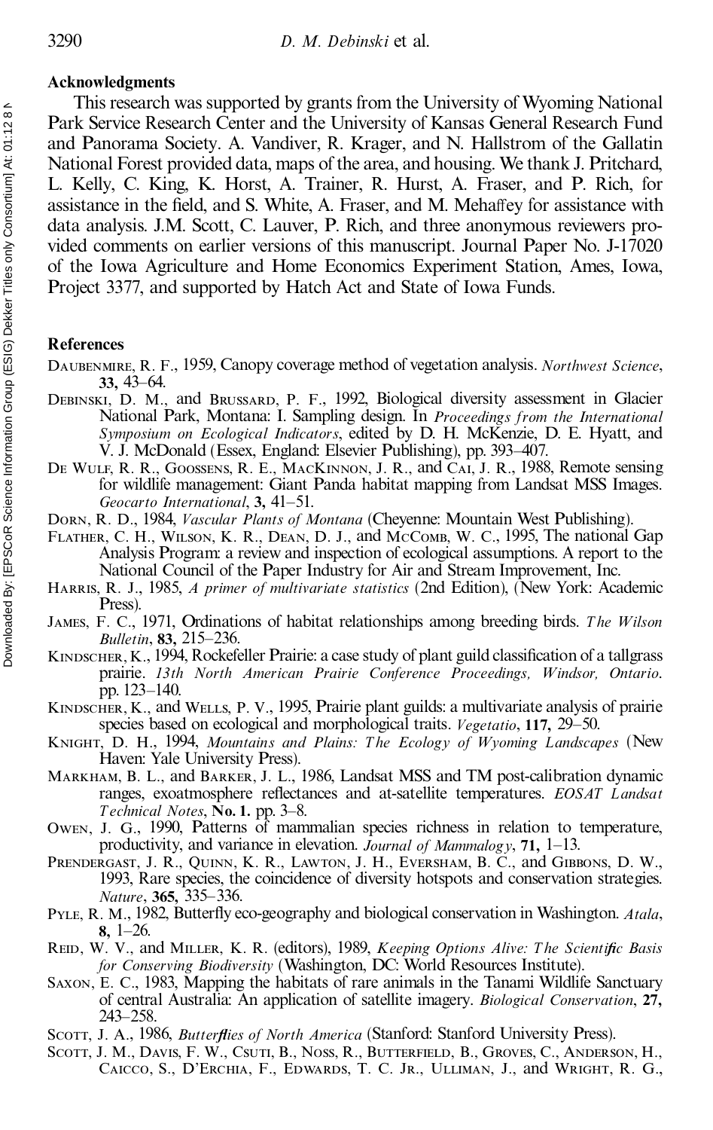#### **Acknowledgments**

This research was supported by grants from the University of Wyoming National Park Service Research Center and the University of Kansas General Research Fund and Panorama Society. A. Vandiver, R. Krager, and N. Hallstrom of the Gallatin National Forest provided data, maps of the area, and housing. We thank J. Pritchard, L. Kelly, C. King, K. Horst, A. Trainer, R. Hurst, A. Fraser, and P. Rich, for assistance in the field, and S. White, A. Fraser, and M. Mehaffey for assistance with data analysis. J.M. Scott, C. Lauver, P. Rich, and three anonymous reviewers pro vided comments on earlier versions of this manuscript. Journal Paper No. J-17020 of the Iowa Agriculture and Home Economics Experiment Station, Ames, Iowa, Project 3377, and supported by Hatch Act and State of Iowa Funds.

#### **References**

- Daubenmire, R. F., 1959, Canopy coverage method of vegetation analysis. *Northwest Science*, **33,** 43–64.
- Debinski, D. M., and Brussard, P. F., 1992, Biological diversity assessment in Glacier National Park, Montana: I. Sampling design. In *Proceedings from the International Symposium on Ecological Indicators*, edited by D. H. McKenzie, D. E. Hyatt, and V. J. McDonald (Essex, England: Elsevier Publishing), pp. 393–407.
- DE WULF, R. R., GOOSSENS, R. E., MACKINNON, J. R., and CAI, J. R., 1988, Remote sensing for wildlife management: Giant Panda habitat mapping from Landsat MSS Images. *Geocarto International*, 3, 41-51.
- Dorn, R. D., 1984, *Vascular Plants of Montana* (Cheyenne: Mountain West Publishing).
- FLATHER, C. H., WILSON, K. R., DEAN, D. J., and McComb, W. C., 1995, The national Gap Analysis Program: a review and inspection of ecological assumptions. A report to the National Council of the Paper Industry for Air and Stream Improvement, Inc.
- Harris, R. J., 1985, *A primer of multivariate statistics* (2nd Edition), (New York: Academic Press).
- James, F. C., 1971, Ordinations of habitat relationships among breeding birds. *T he W ilson Bulletin*, **83,** 215±236.
- KINDSCHER, K., 1994, Rockefeller Prairie: a case study of plant guild classification of a tallgrass prairie. *13th North American Prairie Conference Proceedings, W indsor, Ontario*. pp. 123-140.
- KINDSCHER, K., and WELLS, P. V., 1995, Prairie plant guilds: a multivariate analysis of prairie species based on ecological and morphological traits. *Vegetatio*, 117, 29–50.
- Knight, D. H., 1994, *Mountains and Plains: T he Ecology of Wyoming L andscapes* (New Haven: Yale University Press).
- Markham, B. L., and Barker, J. L., 1986, Landsat MSS and TM post-calibration dynamic ranges, exoatmosphere reflectances and at-satellite temperatures. *EOSAT Landsat T echnical Notes*, **No. 1.** pp. 3±8.
- Owen, J. G., 1990, Patterns of mammalian species richness in relation to temperature, productivity, and variance in elevation. *Journal of Mammalogy*, **71**,  $1-13$ .
- PRENDERGAST, J. R., QUINN, K. R., LAWTON, J. H., EVERSHAM, B. C., and GIBBONS, D. W., 1993, Rare species, the coincidence of diversity hotspots and conservation strategies. *Nature*, 365, 335-336.
- PYLE, R. M., 1982, Butterfly eco-geography and biological conservation in Washington. *Atala*,  $8, 1-26.$
- REID, W. V., and MILLER, K. R. (editors), 1989, *Keeping Options Alive: The Scientific Basis for Conserving Biodiversity* (Washington, DC: World Resources Institute).
- Saxon, E. C., 1983, Mapping the habitats of rare animals in the Tanami Wildlife Sanctuary of central Australia: An application of satellite imagery. *Biological Conservation*, **27,** 243±258.
- Scott, J. A., 1986, *Butterflies of North America* (Stanford: Stanford University Press).
- Scott, J. M., Davis, F. W., Csuti, B., Noss, R., Butterfield, B., Groves, C., Anderson, H., Caicco, S., D'Erchia, F., Edwards, T. C. Jr., Ulliman, J., and Wright, R. G.,